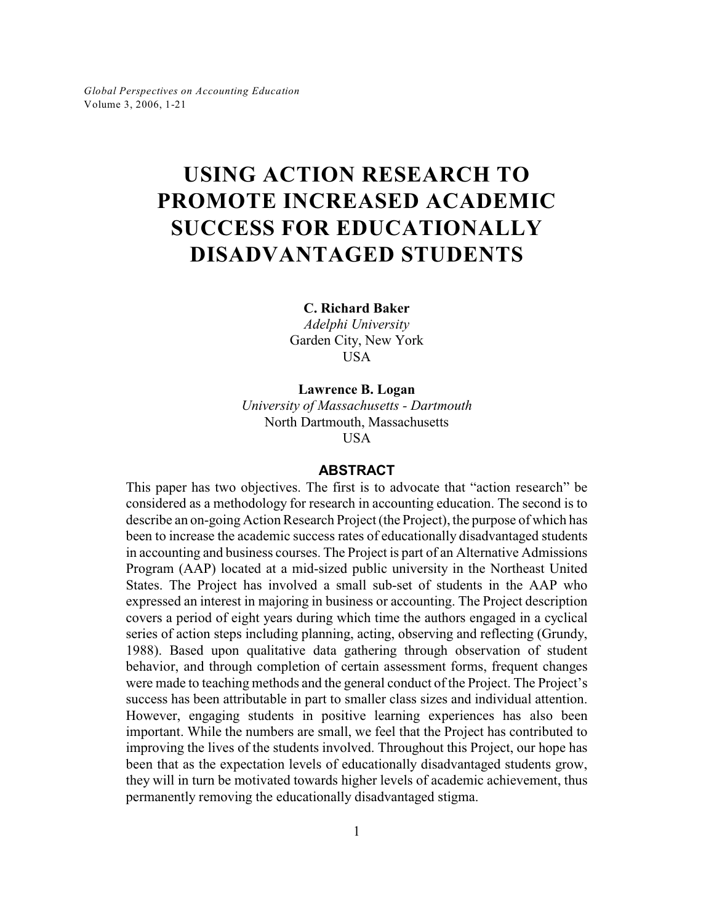*Global Perspectives on Accounting Education* Volume 3, 2006, 1-21

# **USING ACTION RESEARCH TO PROMOTE INCREASED ACADEMIC SUCCESS FOR EDUCATIONALLY DISADVANTAGED STUDENTS**

**C. Richard Baker**

*Adelphi University* Garden City, New York **USA** 

**Lawrence B. Logan** *University of Massachusetts - Dartmouth* North Dartmouth, Massachusetts

USA

# **ABSTRACT**

This paper has two objectives. The first is to advocate that "action research" be considered as a methodology for research in accounting education. The second is to describe an on-going Action Research Project (the Project), the purpose of which has been to increase the academic success rates of educationally disadvantaged students in accounting and business courses. The Project is part of an Alternative Admissions Program (AAP) located at a mid-sized public university in the Northeast United States. The Project has involved a small sub-set of students in the AAP who expressed an interest in majoring in business or accounting. The Project description covers a period of eight years during which time the authors engaged in a cyclical series of action steps including planning, acting, observing and reflecting (Grundy, 1988). Based upon qualitative data gathering through observation of student behavior, and through completion of certain assessment forms, frequent changes were made to teaching methods and the general conduct of the Project. The Project's success has been attributable in part to smaller class sizes and individual attention. However, engaging students in positive learning experiences has also been important. While the numbers are small, we feel that the Project has contributed to improving the lives of the students involved. Throughout this Project, our hope has been that as the expectation levels of educationally disadvantaged students grow, they will in turn be motivated towards higher levels of academic achievement, thus permanently removing the educationally disadvantaged stigma.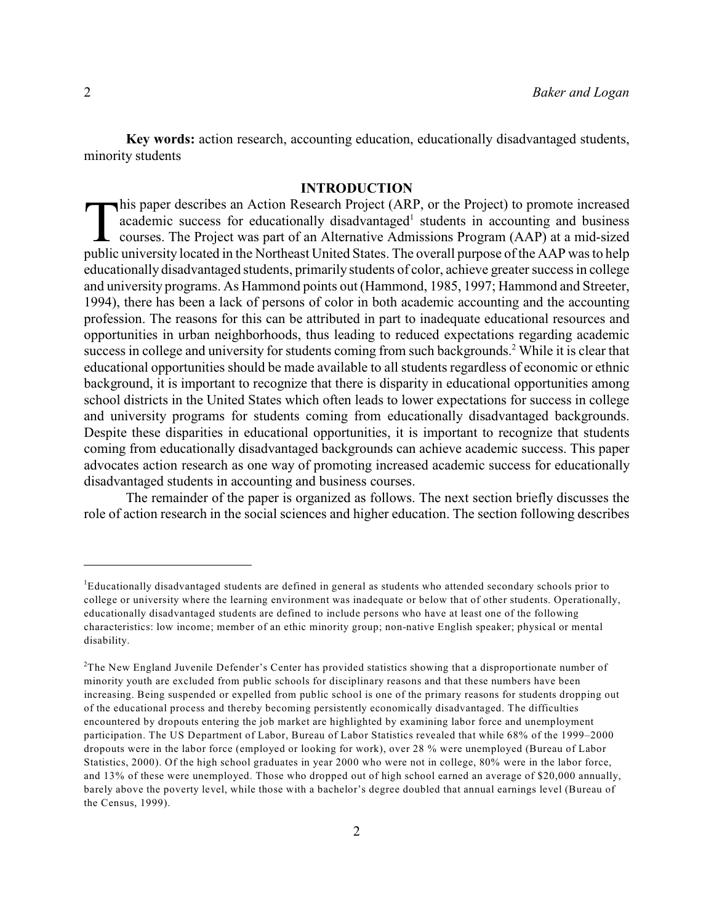**Key words:** action research, accounting education, educationally disadvantaged students, minority students

# **INTRODUCTION**

This paper describes an Action Research Project (ARP, or the Project) to promote increased academic success for educationally disadvantaged<sup>1</sup> students in accounting and business courses. The Project was part of an Alterna his paper describes an Action Research Project (ARP, or the Project) to promote increased academic success for educationally disadvantaged<sup>1</sup> students in accounting and business courses. The Project was part of an Alternative Admissions Program (AAP) at a mid-sized educationally disadvantaged students, primarily students of color, achieve greater success in college and university programs. As Hammond points out (Hammond, 1985, 1997; Hammond and Streeter, 1994), there has been a lack of persons of color in both academic accounting and the accounting profession. The reasons for this can be attributed in part to inadequate educational resources and opportunities in urban neighborhoods, thus leading to reduced expectations regarding academic success in college and university for students coming from such backgrounds.<sup>2</sup> While it is clear that educational opportunities should be made available to all students regardless of economic or ethnic background, it is important to recognize that there is disparity in educational opportunities among school districts in the United States which often leads to lower expectations for success in college and university programs for students coming from educationally disadvantaged backgrounds. Despite these disparities in educational opportunities, it is important to recognize that students coming from educationally disadvantaged backgrounds can achieve academic success. This paper advocates action research as one way of promoting increased academic success for educationally disadvantaged students in accounting and business courses.

The remainder of the paper is organized as follows. The next section briefly discusses the role of action research in the social sciences and higher education. The section following describes

Educationally disadvantaged students are defined in general as students who attended secondary schools prior to <sup>1</sup> college or university where the learning environment was inadequate or below that of other students. Operationally, educationally disadvantaged students are defined to include persons who have at least one of the following characteristics: low income; member of an ethic minority group; non-native English speaker; physical or mental disability.

 $T$ The New England Juvenile Defender's Center has provided statistics showing that a disproportionate number of minority youth are excluded from public schools for disciplinary reasons and that these numbers have been increasing. Being suspended or expelled from public school is one of the primary reasons for students dropping out of the educational process and thereby becoming persistently economically disadvantaged. The difficulties encountered by dropouts entering the job market are highlighted by examining labor force and unemployment participation. The US Department of Labor, Bureau of Labor Statistics revealed that while 68% of the 1999–2000 dropouts were in the labor force (employed or looking for work), over 28 % were unemployed (Bureau of Labor Statistics, 2000). Of the high school graduates in year 2000 who were not in college, 80% were in the labor force, and 13% of these were unemployed. Those who dropped out of high school earned an average of \$20,000 annually, barely above the poverty level, while those with a bachelor's degree doubled that annual earnings level (Bureau of the Census, 1999).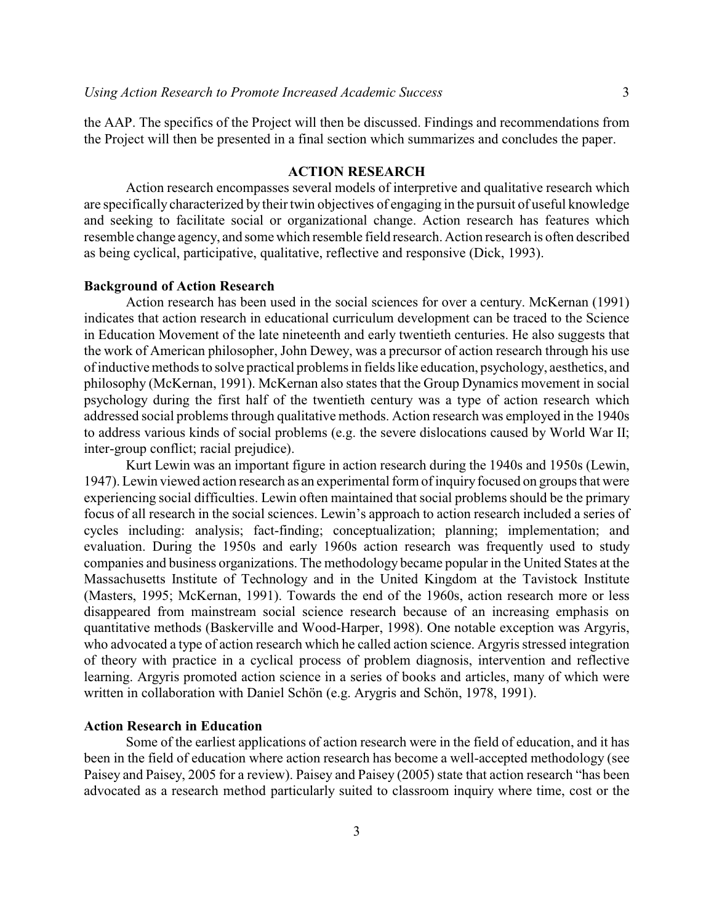the AAP. The specifics of the Project will then be discussed. Findings and recommendations from the Project will then be presented in a final section which summarizes and concludes the paper.

# **ACTION RESEARCH**

Action research encompasses several models of interpretive and qualitative research which are specifically characterized by their twin objectives of engaging in the pursuit of useful knowledge and seeking to facilitate social or organizational change. Action research has features which resemble change agency, and some which resemble field research. Action research is often described as being cyclical, participative, qualitative, reflective and responsive (Dick, 1993).

### **Background of Action Research**

Action research has been used in the social sciences for over a century. McKernan (1991) indicates that action research in educational curriculum development can be traced to the Science in Education Movement of the late nineteenth and early twentieth centuries. He also suggests that the work of American philosopher, John Dewey, was a precursor of action research through his use of inductive methods to solve practical problems in fields like education, psychology, aesthetics, and philosophy (McKernan, 1991). McKernan also states that the Group Dynamics movement in social psychology during the first half of the twentieth century was a type of action research which addressed social problems through qualitative methods. Action research was employed in the 1940s to address various kinds of social problems (e.g. the severe dislocations caused by World War II; inter-group conflict; racial prejudice).

Kurt Lewin was an important figure in action research during the 1940s and 1950s (Lewin, 1947). Lewin viewed action research as an experimental form of inquiry focused on groups that were experiencing social difficulties. Lewin often maintained that social problems should be the primary focus of all research in the social sciences. Lewin's approach to action research included a series of cycles including: analysis; fact-finding; conceptualization; planning; implementation; and evaluation. During the 1950s and early 1960s action research was frequently used to study companies and business organizations. The methodology became popular in the United States at the Massachusetts Institute of Technology and in the United Kingdom at the Tavistock Institute (Masters, 1995; McKernan, 1991). Towards the end of the 1960s, action research more or less disappeared from mainstream social science research because of an increasing emphasis on quantitative methods (Baskerville and Wood-Harper, 1998). One notable exception was Argyris, who advocated a type of action research which he called action science. Argyris stressed integration of theory with practice in a cyclical process of problem diagnosis, intervention and reflective learning. Argyris promoted action science in a series of books and articles, many of which were written in collaboration with Daniel Schön (e.g. Arygris and Schön, 1978, 1991).

### **Action Research in Education**

Some of the earliest applications of action research were in the field of education, and it has been in the field of education where action research has become a well-accepted methodology (see Paisey and Paisey, 2005 for a review). Paisey and Paisey (2005) state that action research "has been advocated as a research method particularly suited to classroom inquiry where time, cost or the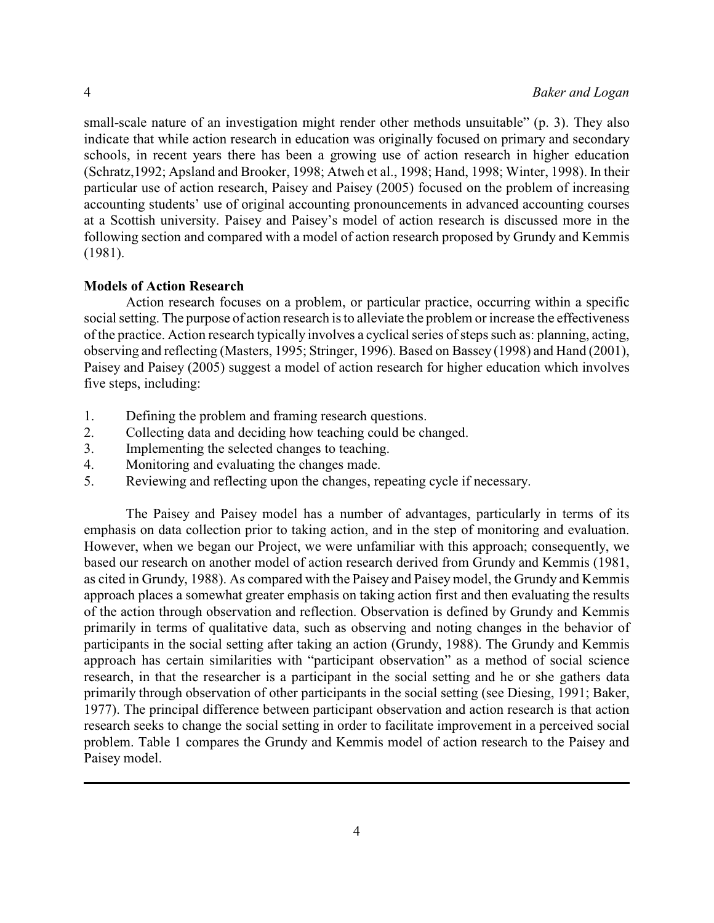small-scale nature of an investigation might render other methods unsuitable" (p. 3). They also indicate that while action research in education was originally focused on primary and secondary schools, in recent years there has been a growing use of action research in higher education (Schratz,1992; Apsland and Brooker, 1998; Atweh et al., 1998; Hand, 1998; Winter, 1998). In their particular use of action research, Paisey and Paisey (2005) focused on the problem of increasing accounting students' use of original accounting pronouncements in advanced accounting courses at a Scottish university. Paisey and Paisey's model of action research is discussed more in the following section and compared with a model of action research proposed by Grundy and Kemmis (1981).

# **Models of Action Research**

Action research focuses on a problem, or particular practice, occurring within a specific social setting. The purpose of action research is to alleviate the problem or increase the effectiveness of the practice. Action research typically involves a cyclical series of steps such as: planning, acting, observing and reflecting (Masters, 1995; Stringer, 1996). Based on Bassey (1998) and Hand (2001), Paisey and Paisey (2005) suggest a model of action research for higher education which involves five steps, including:

- 1. Defining the problem and framing research questions.
- 2. Collecting data and deciding how teaching could be changed.
- 3. Implementing the selected changes to teaching.
- 4. Monitoring and evaluating the changes made.
- 5. Reviewing and reflecting upon the changes, repeating cycle if necessary.

The Paisey and Paisey model has a number of advantages, particularly in terms of its emphasis on data collection prior to taking action, and in the step of monitoring and evaluation. However, when we began our Project, we were unfamiliar with this approach; consequently, we based our research on another model of action research derived from Grundy and Kemmis (1981, as cited in Grundy, 1988). As compared with the Paisey and Paisey model, the Grundy and Kemmis approach places a somewhat greater emphasis on taking action first and then evaluating the results of the action through observation and reflection. Observation is defined by Grundy and Kemmis primarily in terms of qualitative data, such as observing and noting changes in the behavior of participants in the social setting after taking an action (Grundy, 1988). The Grundy and Kemmis approach has certain similarities with "participant observation" as a method of social science research, in that the researcher is a participant in the social setting and he or she gathers data primarily through observation of other participants in the social setting (see Diesing, 1991; Baker, 1977). The principal difference between participant observation and action research is that action research seeks to change the social setting in order to facilitate improvement in a perceived social problem. Table 1 compares the Grundy and Kemmis model of action research to the Paisey and Paisey model.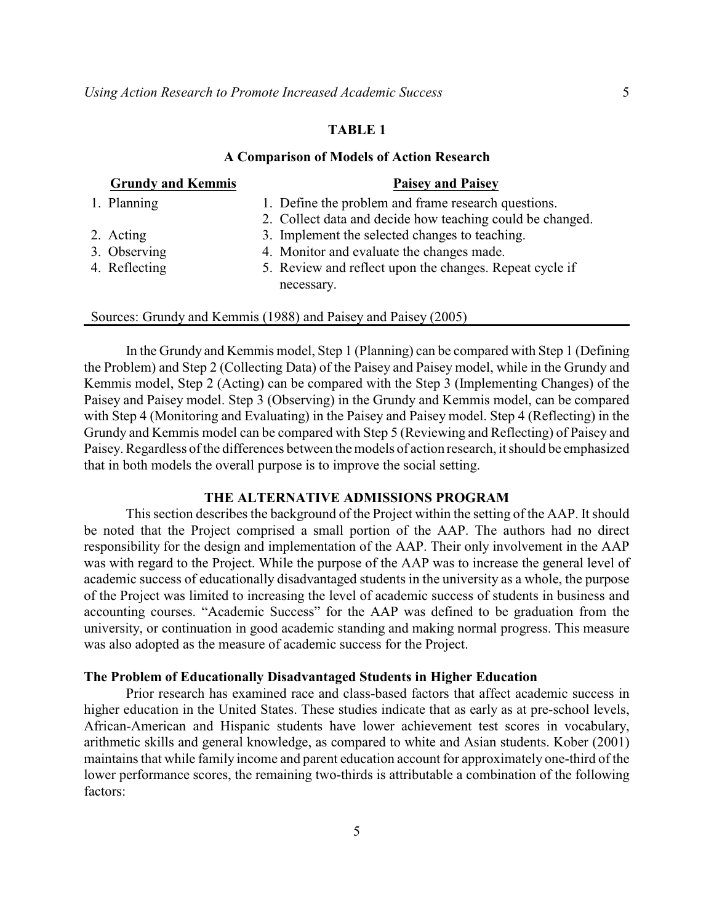# **TABLE 1**

#### **A Comparison of Models of Action Research**

| <b>Grundy and Kemmis</b> | <b>Paisey and Paisey</b>                                              |
|--------------------------|-----------------------------------------------------------------------|
| 1. Planning              | 1. Define the problem and frame research questions.                   |
|                          | 2. Collect data and decide how teaching could be changed.             |
| 2. Acting                | 3. Implement the selected changes to teaching.                        |
| 3. Observing             | 4. Monitor and evaluate the changes made.                             |
| 4. Reflecting            | 5. Review and reflect upon the changes. Repeat cycle if<br>necessary. |
|                          |                                                                       |

#### Sources: Grundy and Kemmis (1988) and Paisey and Paisey (2005)

In the Grundy and Kemmis model, Step 1 (Planning) can be compared with Step 1 (Defining the Problem) and Step 2 (Collecting Data) of the Paisey and Paisey model, while in the Grundy and Kemmis model, Step 2 (Acting) can be compared with the Step 3 (Implementing Changes) of the Paisey and Paisey model. Step 3 (Observing) in the Grundy and Kemmis model, can be compared with Step 4 (Monitoring and Evaluating) in the Paisey and Paisey model. Step 4 (Reflecting) in the Grundy and Kemmis model can be compared with Step 5 (Reviewing and Reflecting) of Paisey and Paisey. Regardless of the differences between the models of action research, it should be emphasized that in both models the overall purpose is to improve the social setting.

### **THE ALTERNATIVE ADMISSIONS PROGRAM**

This section describes the background of the Project within the setting of the AAP. It should be noted that the Project comprised a small portion of the AAP. The authors had no direct responsibility for the design and implementation of the AAP. Their only involvement in the AAP was with regard to the Project. While the purpose of the AAP was to increase the general level of academic success of educationally disadvantaged students in the university as a whole, the purpose of the Project was limited to increasing the level of academic success of students in business and accounting courses. "Academic Success" for the AAP was defined to be graduation from the university, or continuation in good academic standing and making normal progress. This measure was also adopted as the measure of academic success for the Project.

### **The Problem of Educationally Disadvantaged Students in Higher Education**

Prior research has examined race and class-based factors that affect academic success in higher education in the United States. These studies indicate that as early as at pre-school levels, African-American and Hispanic students have lower achievement test scores in vocabulary, arithmetic skills and general knowledge, as compared to white and Asian students. Kober (2001) maintains that while family income and parent education account for approximately one-third of the lower performance scores, the remaining two-thirds is attributable a combination of the following factors: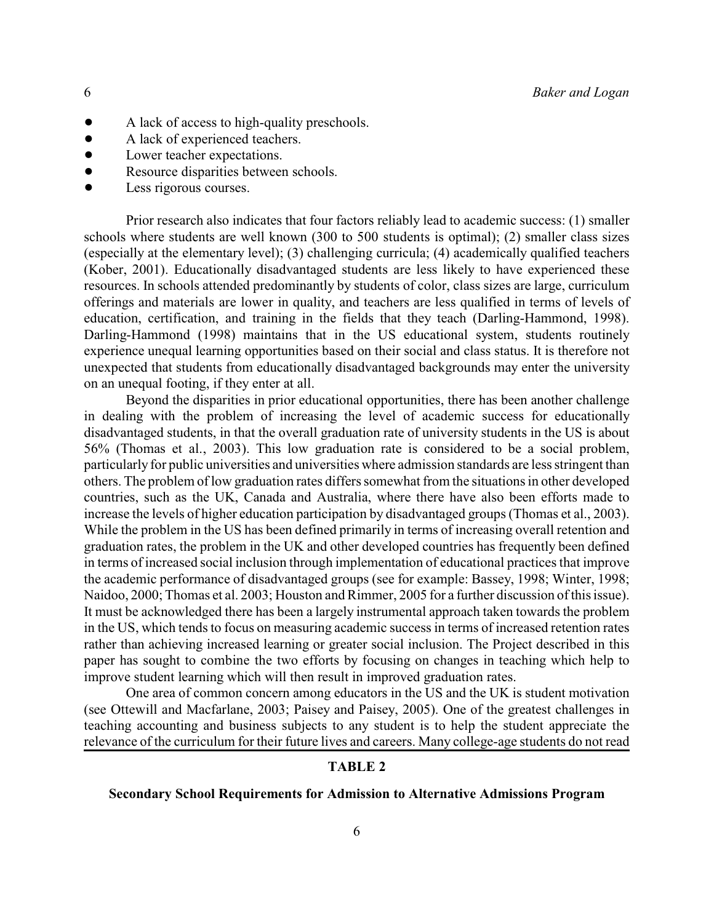- A lack of access to high-quality preschools.
- A lack of experienced teachers.
- Lower teacher expectations.
- Resource disparities between schools.
- $\bullet$  Less rigorous courses.

Prior research also indicates that four factors reliably lead to academic success: (1) smaller schools where students are well known (300 to 500 students is optimal); (2) smaller class sizes (especially at the elementary level); (3) challenging curricula; (4) academically qualified teachers (Kober, 2001). Educationally disadvantaged students are less likely to have experienced these resources. In schools attended predominantly by students of color, class sizes are large, curriculum offerings and materials are lower in quality, and teachers are less qualified in terms of levels of education, certification, and training in the fields that they teach (Darling-Hammond, 1998). Darling-Hammond (1998) maintains that in the US educational system, students routinely experience unequal learning opportunities based on their social and class status. It is therefore not unexpected that students from educationally disadvantaged backgrounds may enter the university on an unequal footing, if they enter at all.

Beyond the disparities in prior educational opportunities, there has been another challenge in dealing with the problem of increasing the level of academic success for educationally disadvantaged students, in that the overall graduation rate of university students in the US is about 56% (Thomas et al., 2003). This low graduation rate is considered to be a social problem, particularly for public universities and universities where admission standards are less stringent than others. The problem of low graduation rates differs somewhat from the situations in other developed countries, such as the UK, Canada and Australia, where there have also been efforts made to increase the levels of higher education participation by disadvantaged groups (Thomas et al., 2003). While the problem in the US has been defined primarily in terms of increasing overall retention and graduation rates, the problem in the UK and other developed countries has frequently been defined in terms of increased social inclusion through implementation of educational practices that improve the academic performance of disadvantaged groups (see for example: Bassey, 1998; Winter, 1998; Naidoo, 2000; Thomas et al. 2003; Houston and Rimmer, 2005 for a further discussion of this issue). It must be acknowledged there has been a largely instrumental approach taken towards the problem in the US, which tends to focus on measuring academic success in terms of increased retention rates rather than achieving increased learning or greater social inclusion. The Project described in this paper has sought to combine the two efforts by focusing on changes in teaching which help to improve student learning which will then result in improved graduation rates.

One area of common concern among educators in the US and the UK is student motivation (see Ottewill and Macfarlane, 2003; Paisey and Paisey, 2005). One of the greatest challenges in teaching accounting and business subjects to any student is to help the student appreciate the relevance of the curriculum for their future lives and careers. Many college-age students do not read

# **TABLE 2**

### **Secondary School Requirements for Admission to Alternative Admissions Program**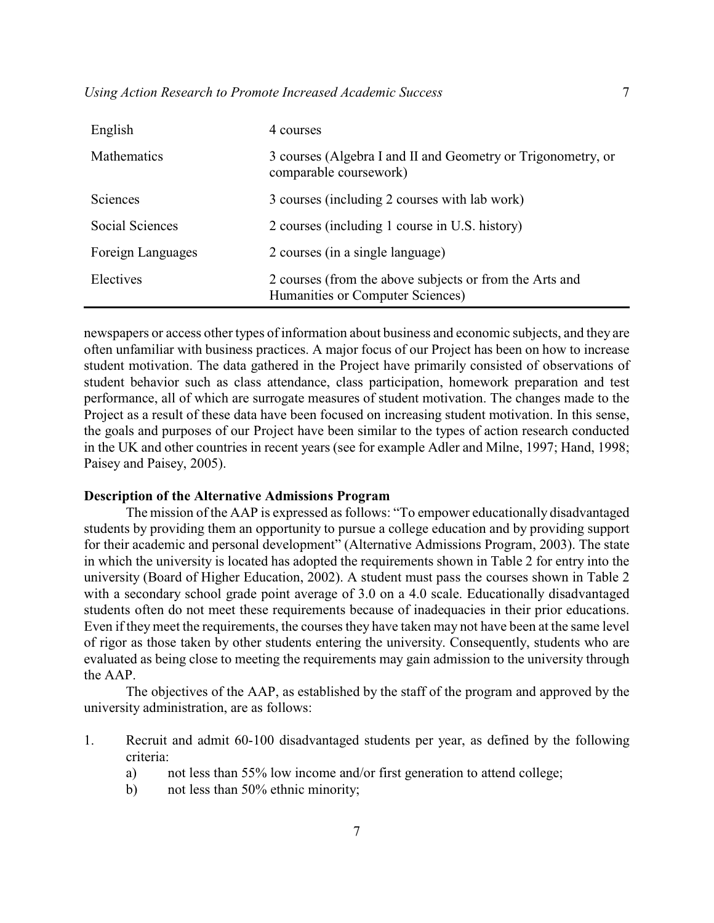| English           | 4 courses                                                                                   |
|-------------------|---------------------------------------------------------------------------------------------|
| Mathematics       | 3 courses (Algebra I and II and Geometry or Trigonometry, or<br>comparable coursework)      |
| <b>Sciences</b>   | 3 courses (including 2 courses with lab work)                                               |
| Social Sciences   | 2 courses (including 1 course in U.S. history)                                              |
| Foreign Languages | 2 courses (in a single language)                                                            |
| Electives         | 2 courses (from the above subjects or from the Arts and<br>Humanities or Computer Sciences) |

newspapers or access other types of information about business and economic subjects, and they are often unfamiliar with business practices. A major focus of our Project has been on how to increase student motivation. The data gathered in the Project have primarily consisted of observations of student behavior such as class attendance, class participation, homework preparation and test performance, all of which are surrogate measures of student motivation. The changes made to the Project as a result of these data have been focused on increasing student motivation. In this sense, the goals and purposes of our Project have been similar to the types of action research conducted in the UK and other countries in recent years (see for example Adler and Milne, 1997; Hand, 1998; Paisey and Paisey, 2005).

# **Description of the Alternative Admissions Program**

The mission of the AAP is expressed as follows: "To empower educationally disadvantaged students by providing them an opportunity to pursue a college education and by providing support for their academic and personal development" (Alternative Admissions Program, 2003). The state in which the university is located has adopted the requirements shown in Table 2 for entry into the university (Board of Higher Education, 2002). A student must pass the courses shown in Table 2 with a secondary school grade point average of 3.0 on a 4.0 scale. Educationally disadvantaged students often do not meet these requirements because of inadequacies in their prior educations. Even if they meet the requirements, the courses they have taken may not have been at the same level of rigor as those taken by other students entering the university. Consequently, students who are evaluated as being close to meeting the requirements may gain admission to the university through the AAP.

The objectives of the AAP, as established by the staff of the program and approved by the university administration, are as follows:

- 1. Recruit and admit 60-100 disadvantaged students per year, as defined by the following criteria:
	- a) not less than 55% low income and/or first generation to attend college;
	- b) not less than 50% ethnic minority;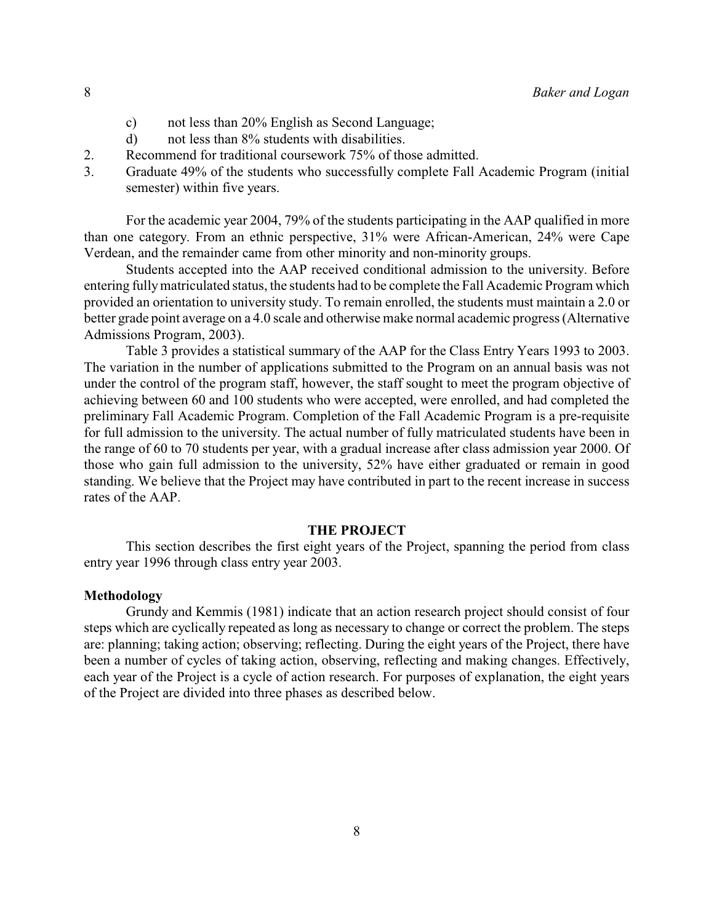- c) not less than 20% English as Second Language;
- d) not less than 8% students with disabilities.
- 2. Recommend for traditional coursework 75% of those admitted.
- 3. Graduate 49% of the students who successfully complete Fall Academic Program (initial semester) within five years.

For the academic year 2004, 79% of the students participating in the AAP qualified in more than one category. From an ethnic perspective, 31% were African-American, 24% were Cape Verdean, and the remainder came from other minority and non-minority groups.

Students accepted into the AAP received conditional admission to the university. Before entering fullymatriculated status, the students had to be complete the Fall Academic Program which provided an orientation to university study. To remain enrolled, the students must maintain a 2.0 or better grade point average on a 4.0 scale and otherwise make normal academic progress (Alternative Admissions Program, 2003).

Table 3 provides a statistical summary of the AAP for the Class Entry Years 1993 to 2003. The variation in the number of applications submitted to the Program on an annual basis was not under the control of the program staff, however, the staff sought to meet the program objective of achieving between 60 and 100 students who were accepted, were enrolled, and had completed the preliminary Fall Academic Program. Completion of the Fall Academic Program is a pre-requisite for full admission to the university. The actual number of fully matriculated students have been in the range of 60 to 70 students per year, with a gradual increase after class admission year 2000. Of those who gain full admission to the university, 52% have either graduated or remain in good standing. We believe that the Project may have contributed in part to the recent increase in success rates of the AAP.

### **THE PROJECT**

This section describes the first eight years of the Project, spanning the period from class entry year 1996 through class entry year 2003.

# **Methodology**

Grundy and Kemmis (1981) indicate that an action research project should consist of four steps which are cyclically repeated as long as necessary to change or correct the problem. The steps are: planning; taking action; observing; reflecting. During the eight years of the Project, there have been a number of cycles of taking action, observing, reflecting and making changes. Effectively, each year of the Project is a cycle of action research. For purposes of explanation, the eight years of the Project are divided into three phases as described below.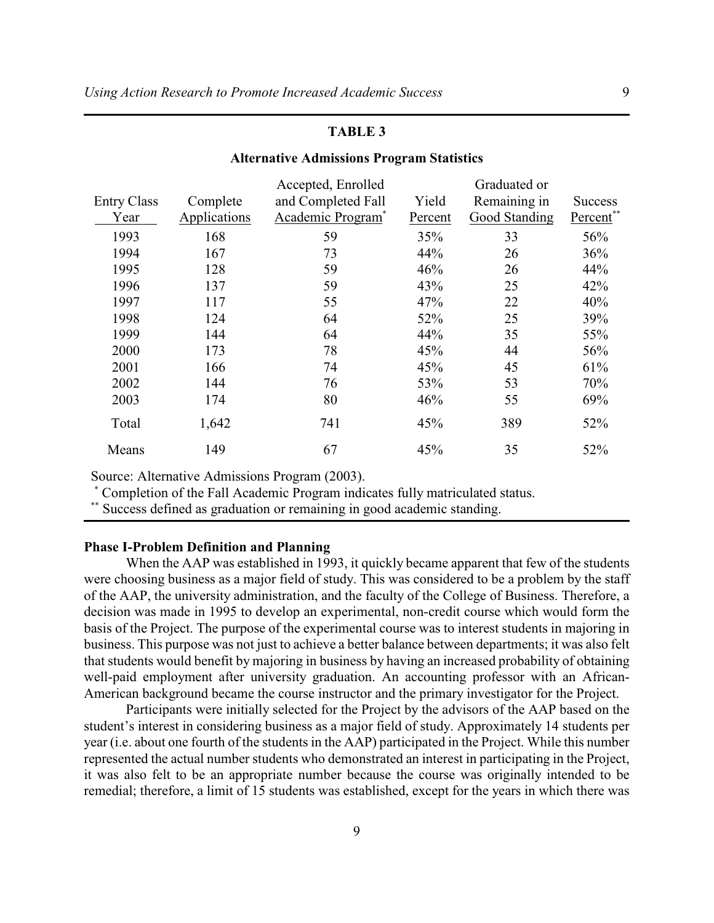# **TABLE 3**

### **Alternative Admissions Program Statistics**

|                    |              | Accepted, Enrolled            |         | Graduated or  |                |
|--------------------|--------------|-------------------------------|---------|---------------|----------------|
| <b>Entry Class</b> | Complete     | and Completed Fall            | Yield   | Remaining in  | <b>Success</b> |
| Year               | Applications | Academic Program <sup>*</sup> | Percent | Good Standing | Percent**      |
| 1993               | 168          | 59                            | 35%     | 33            | 56%            |
| 1994               | 167          | 73                            | 44%     | 26            | 36%            |
| 1995               | 128          | 59                            | 46%     | 26            | 44%            |
| 1996               | 137          | 59                            | 43%     | 25            | 42%            |
| 1997               | 117          | 55                            | 47%     | 22            | 40%            |
| 1998               | 124          | 64                            | 52%     | 25            | 39%            |
| 1999               | 144          | 64                            | 44%     | 35            | 55%            |
| 2000               | 173          | 78                            | 45%     | 44            | 56%            |
| 2001               | 166          | 74                            | 45%     | 45            | 61%            |
| 2002               | 144          | 76                            | 53%     | 53            | 70%            |
| 2003               | 174          | 80                            | 46%     | 55            | 69%            |
| Total              | 1,642        | 741                           | 45%     | 389           | 52%            |
| Means              | 149          | 67                            | 45%     | 35            | 52%            |

Source: Alternative Admissions Program (2003).

 Completion of the Fall Academic Program indicates fully matriculated status. \*

\*\* Success defined as graduation or remaining in good academic standing.

# **Phase I-Problem Definition and Planning**

When the AAP was established in 1993, it quickly became apparent that few of the students were choosing business as a major field of study. This was considered to be a problem by the staff of the AAP, the university administration, and the faculty of the College of Business. Therefore, a decision was made in 1995 to develop an experimental, non-credit course which would form the basis of the Project. The purpose of the experimental course was to interest students in majoring in business. This purpose was not just to achieve a better balance between departments; it was also felt that students would benefit by majoring in business by having an increased probability of obtaining well-paid employment after university graduation. An accounting professor with an African-American background became the course instructor and the primary investigator for the Project.

Participants were initially selected for the Project by the advisors of the AAP based on the student's interest in considering business as a major field of study. Approximately 14 students per year (i.e. about one fourth of the students in the AAP) participated in the Project. While this number represented the actual number students who demonstrated an interest in participating in the Project, it was also felt to be an appropriate number because the course was originally intended to be remedial; therefore, a limit of 15 students was established, except for the years in which there was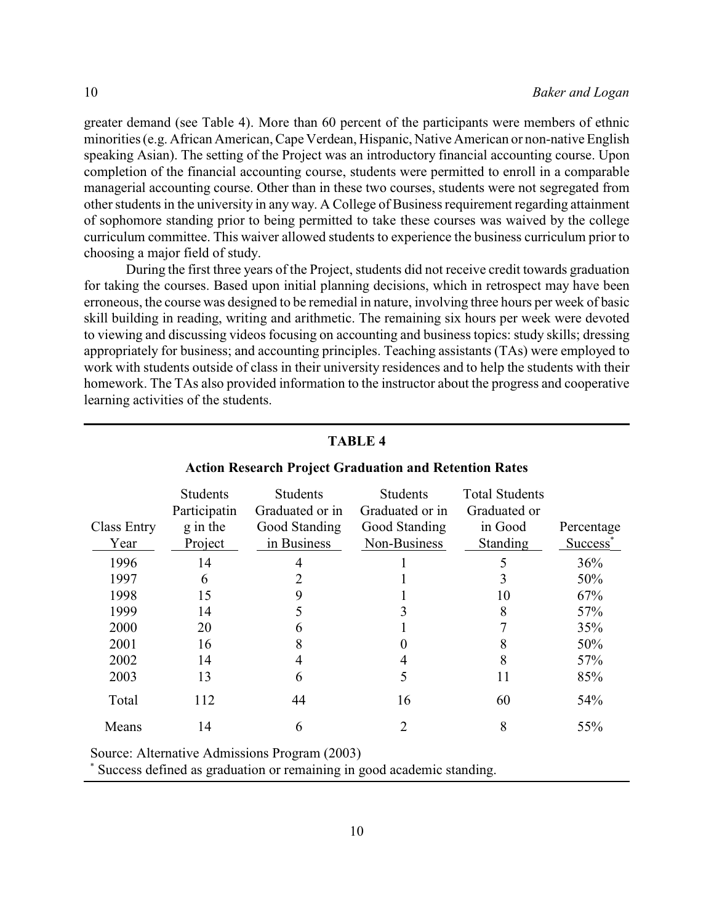greater demand (see Table 4). More than 60 percent of the participants were members of ethnic minorities (e.g. African American,Cape Verdean, Hispanic, Native American or non-native English speaking Asian). The setting of the Project was an introductory financial accounting course. Upon completion of the financial accounting course, students were permitted to enroll in a comparable managerial accounting course. Other than in these two courses, students were not segregated from other students in the university in any way. A College of Business requirement regarding attainment of sophomore standing prior to being permitted to take these courses was waived by the college curriculum committee. This waiver allowed students to experience the business curriculum prior to choosing a major field of study.

During the first three years of the Project, students did not receive credit towards graduation for taking the courses. Based upon initial planning decisions, which in retrospect may have been erroneous, the course was designed to be remedial in nature, involving three hours per week of basic skill building in reading, writing and arithmetic. The remaining six hours per week were devoted to viewing and discussing videos focusing on accounting and business topics: study skills; dressing appropriately for business; and accounting principles. Teaching assistants (TAs) were employed to work with students outside of class in their university residences and to help the students with their homework. The TAs also provided information to the instructor about the progress and cooperative learning activities of the students.

| <b>Class Entry</b><br>Year | <b>Students</b><br>Participatin<br>g in the<br>Project | <b>Students</b><br>Graduated or in<br>Good Standing<br>in Business | <b>Students</b><br>Graduated or in<br>Good Standing<br>Non-Business | <b>Total Students</b><br>Graduated or<br>in Good<br>Standing | Percentage<br>Success <sup>*</sup> |
|----------------------------|--------------------------------------------------------|--------------------------------------------------------------------|---------------------------------------------------------------------|--------------------------------------------------------------|------------------------------------|
| 1996                       | 14                                                     | 4                                                                  |                                                                     |                                                              | 36%                                |
| 1997                       | 6                                                      | າ                                                                  |                                                                     | 3                                                            | 50%                                |
| 1998                       | 15                                                     | 9                                                                  |                                                                     | 10                                                           | 67%                                |
| 1999                       | 14                                                     |                                                                    |                                                                     | 8                                                            | 57%                                |
| 2000                       | 20                                                     | 6                                                                  |                                                                     |                                                              | 35%                                |
| 2001                       | 16                                                     | 8                                                                  |                                                                     | 8                                                            | 50%                                |
| 2002                       | 14                                                     |                                                                    |                                                                     | 8                                                            | 57%                                |
| 2003                       | 13                                                     | 6                                                                  | 5                                                                   | 11                                                           | 85%                                |
| Total                      | 112                                                    | 44                                                                 | 16                                                                  | 60                                                           | 54%                                |
| Means                      | 14                                                     | 6                                                                  | 2                                                                   | 8                                                            | 55%                                |

### **TABLE 4**

### **Action Research Project Graduation and Retention Rates**

Source: Alternative Admissions Program (2003)

Success defined as graduation or remaining in good academic standing.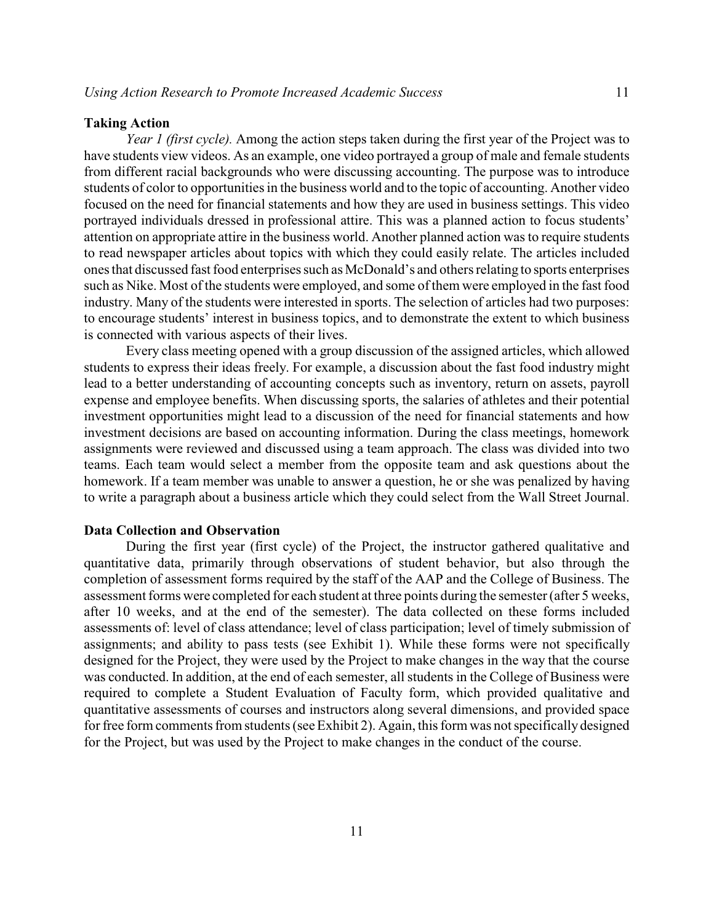#### **Taking Action**

*Year 1 (first cycle).* Among the action steps taken during the first year of the Project was to have students view videos. As an example, one video portrayed a group of male and female students from different racial backgrounds who were discussing accounting. The purpose was to introduce students of color to opportunities in the business world and to the topic of accounting. Another video focused on the need for financial statements and how they are used in business settings. This video portrayed individuals dressed in professional attire. This was a planned action to focus students' attention on appropriate attire in the business world. Another planned action was to require students to read newspaper articles about topics with which they could easily relate. The articles included ones that discussed fast food enterprises such as McDonald's and others relating to sports enterprises such as Nike. Most of the students were employed, and some of them were employed in the fast food industry. Many of the students were interested in sports. The selection of articles had two purposes: to encourage students' interest in business topics, and to demonstrate the extent to which business is connected with various aspects of their lives.

Every class meeting opened with a group discussion of the assigned articles, which allowed students to express their ideas freely. For example, a discussion about the fast food industry might lead to a better understanding of accounting concepts such as inventory, return on assets, payroll expense and employee benefits. When discussing sports, the salaries of athletes and their potential investment opportunities might lead to a discussion of the need for financial statements and how investment decisions are based on accounting information. During the class meetings, homework assignments were reviewed and discussed using a team approach. The class was divided into two teams. Each team would select a member from the opposite team and ask questions about the homework. If a team member was unable to answer a question, he or she was penalized by having to write a paragraph about a business article which they could select from the Wall Street Journal.

# **Data Collection and Observation**

During the first year (first cycle) of the Project, the instructor gathered qualitative and quantitative data, primarily through observations of student behavior, but also through the completion of assessment forms required by the staff of the AAP and the College of Business. The assessment forms were completed for each student at three points during the semester (after 5 weeks, after 10 weeks, and at the end of the semester). The data collected on these forms included assessments of: level of class attendance; level of class participation; level of timely submission of assignments; and ability to pass tests (see Exhibit 1). While these forms were not specifically designed for the Project, they were used by the Project to make changes in the way that the course was conducted. In addition, at the end of each semester, all students in the College of Business were required to complete a Student Evaluation of Faculty form, which provided qualitative and quantitative assessments of courses and instructors along several dimensions, and provided space for free form comments from students (see Exhibit 2). Again, this form was not specifically designed for the Project, but was used by the Project to make changes in the conduct of the course.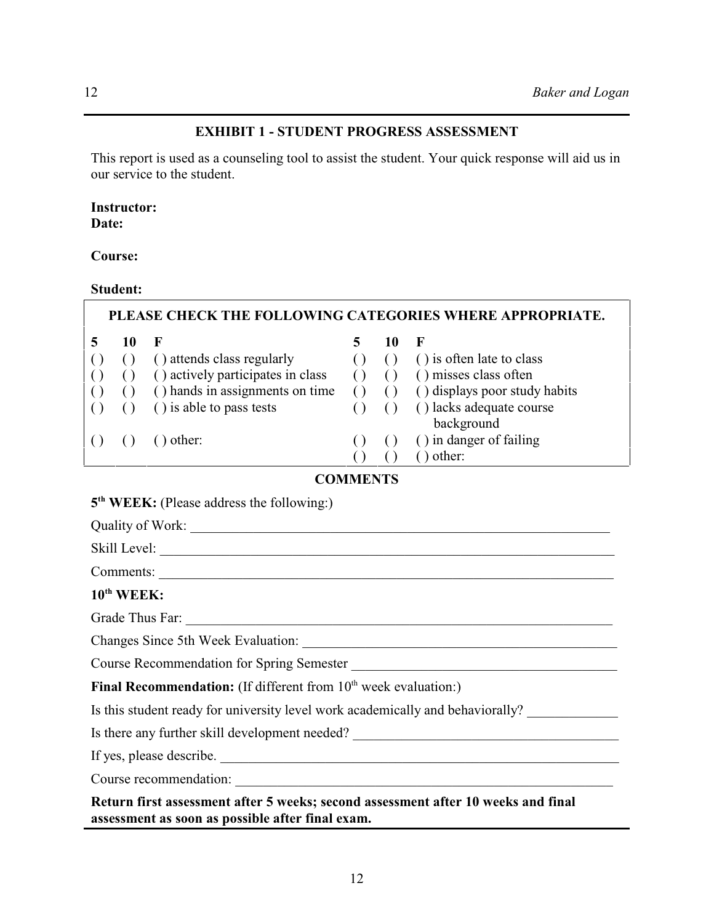# **EXHIBIT 1 - STUDENT PROGRESS ASSESSMENT**

This report is used as a counseling tool to assist the student. Your quick response will aid us in our service to the student.

# **Instructor:**

**Date:**

**Course:**

# **Student:**

| PLEASE CHECK THE FOLLOWING CATEGORIES WHERE APPROPRIATE. |    |                                   |   |    |                               |  |
|----------------------------------------------------------|----|-----------------------------------|---|----|-------------------------------|--|
|                                                          | 10 | К                                 | 5 | 10 | F                             |  |
|                                                          |    | () attends class regularly        |   |    | () is often late to class     |  |
|                                                          |    | () actively participates in class |   |    | () misses class often         |  |
|                                                          |    | () hands in assignments on time   |   |    | () displays poor study habits |  |
|                                                          |    | () is able to pass tests          |   |    | () lacks adequate course      |  |
|                                                          |    |                                   |   |    | background                    |  |
|                                                          |    | other:                            |   |    | () in danger of failing       |  |
|                                                          |    |                                   |   |    | other:                        |  |

# **COMMENTS**

# 5<sup>th</sup> WEEK: (Please address the following:)

| Comments:                                                                         |
|-----------------------------------------------------------------------------------|
| $10^{th}$ WEEK:                                                                   |
|                                                                                   |
|                                                                                   |
|                                                                                   |
| <b>Final Recommendation:</b> (If different from $10th$ week evaluation:)          |
| Is this student ready for university level work academically and behaviorally?    |
| Is there any further skill development needed?                                    |
| If yes, please describe.                                                          |
| Course recommendation:                                                            |
| Return first assessment after 5 weeks; second assessment after 10 weeks and final |

**assessment as soon as possible after final exam.**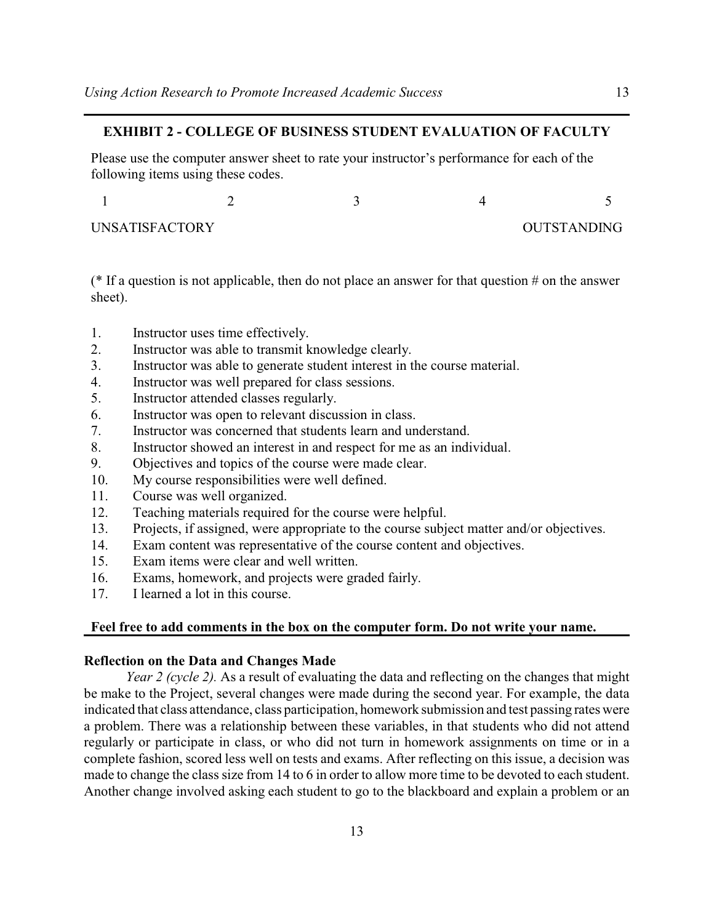# **EXHIBIT 2 - COLLEGE OF BUSINESS STUDENT EVALUATION OF FACULTY**

Please use the computer answer sheet to rate your instructor's performance for each of the following items using these codes.

| UNSATISFACTORY |  | OUTSTANDING |
|----------------|--|-------------|

( $*$  If a question is not applicable, then do not place an answer for that question  $#$  on the answer sheet).

- 1. Instructor uses time effectively.
- 2. Instructor was able to transmit knowledge clearly.
- 3. Instructor was able to generate student interest in the course material.
- 4. Instructor was well prepared for class sessions.
- 5. Instructor attended classes regularly.
- 6. Instructor was open to relevant discussion in class.
- 7. Instructor was concerned that students learn and understand.
- 8. Instructor showed an interest in and respect for me as an individual.
- 9. Objectives and topics of the course were made clear.
- 10. My course responsibilities were well defined.
- 11. Course was well organized.
- 12. Teaching materials required for the course were helpful.
- 13. Projects, if assigned, were appropriate to the course subject matter and/or objectives.
- 14. Exam content was representative of the course content and objectives.
- 15. Exam items were clear and well written.
- 16. Exams, homework, and projects were graded fairly.
- 17. I learned a lot in this course.

# **Feel free to add comments in the box on the computer form. Do not write your name.**

# **Reflection on the Data and Changes Made**

*Year 2 (cycle 2).* As a result of evaluating the data and reflecting on the changes that might be make to the Project, several changes were made during the second year. For example, the data indicated that class attendance, class participation, homework submission and test passing rates were a problem. There was a relationship between these variables, in that students who did not attend regularly or participate in class, or who did not turn in homework assignments on time or in a complete fashion, scored less well on tests and exams. After reflecting on this issue, a decision was made to change the class size from 14 to 6 in order to allow more time to be devoted to each student. Another change involved asking each student to go to the blackboard and explain a problem or an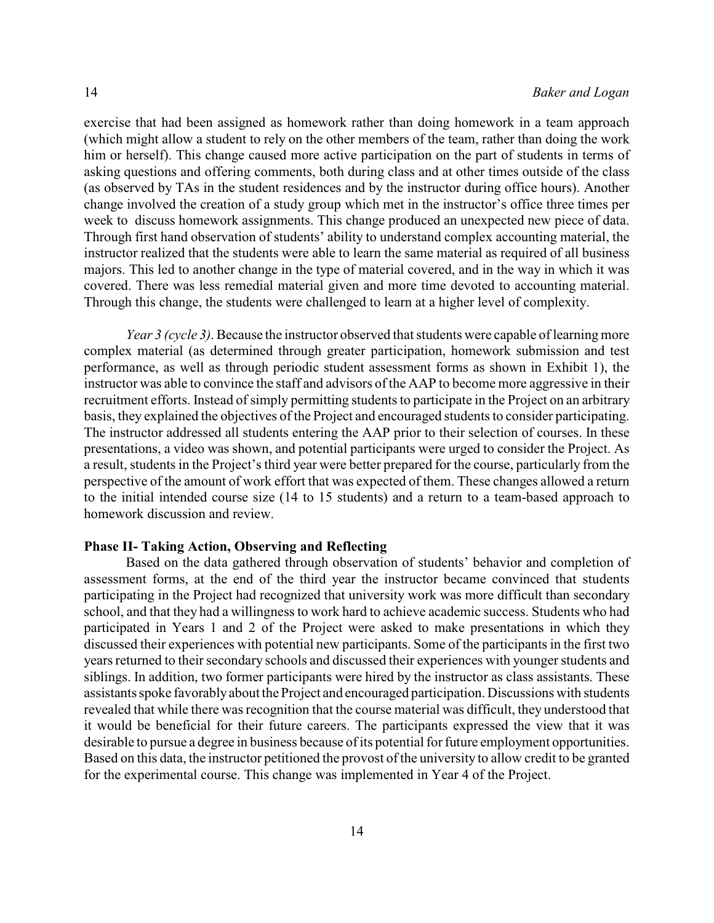exercise that had been assigned as homework rather than doing homework in a team approach (which might allow a student to rely on the other members of the team, rather than doing the work him or herself). This change caused more active participation on the part of students in terms of asking questions and offering comments, both during class and at other times outside of the class (as observed by TAs in the student residences and by the instructor during office hours). Another change involved the creation of a study group which met in the instructor's office three times per week to discuss homework assignments. This change produced an unexpected new piece of data. Through first hand observation of students' ability to understand complex accounting material, the instructor realized that the students were able to learn the same material as required of all business majors. This led to another change in the type of material covered, and in the way in which it was covered. There was less remedial material given and more time devoted to accounting material. Through this change, the students were challenged to learn at a higher level of complexity.

*Year 3 (cycle 3)*. Because the instructor observed that students were capable of learning more complex material (as determined through greater participation, homework submission and test performance, as well as through periodic student assessment forms as shown in Exhibit 1), the instructor was able to convince the staff and advisors ofthe AAP to become more aggressive in their recruitment efforts. Instead of simply permitting students to participate in the Project on an arbitrary basis, they explained the objectives of the Project and encouraged students to consider participating. The instructor addressed all students entering the AAP prior to their selection of courses. In these presentations, a video was shown, and potential participants were urged to consider the Project. As a result, students in the Project's third year were better prepared for the course, particularly from the perspective of the amount of work effort that was expected of them. These changes allowed a return to the initial intended course size (14 to 15 students) and a return to a team-based approach to homework discussion and review.

# **Phase II- Taking Action, Observing and Reflecting**

Based on the data gathered through observation of students' behavior and completion of assessment forms, at the end of the third year the instructor became convinced that students participating in the Project had recognized that university work was more difficult than secondary school, and that they had a willingness to work hard to achieve academic success. Students who had participated in Years 1 and 2 of the Project were asked to make presentations in which they discussed their experiences with potential new participants. Some of the participants in the first two years returned to their secondary schools and discussed their experiences with younger students and siblings. In addition, two former participants were hired by the instructor as class assistants. These assistants spoke favorably about the Project and encouraged participation. Discussions with students revealed that while there was recognition that the course material was difficult, they understood that it would be beneficial for their future careers. The participants expressed the view that it was desirable to pursue a degree in business because of its potential for future employment opportunities. Based on this data, the instructor petitioned the provost of the university to allow credit to be granted for the experimental course. This change was implemented in Year 4 of the Project.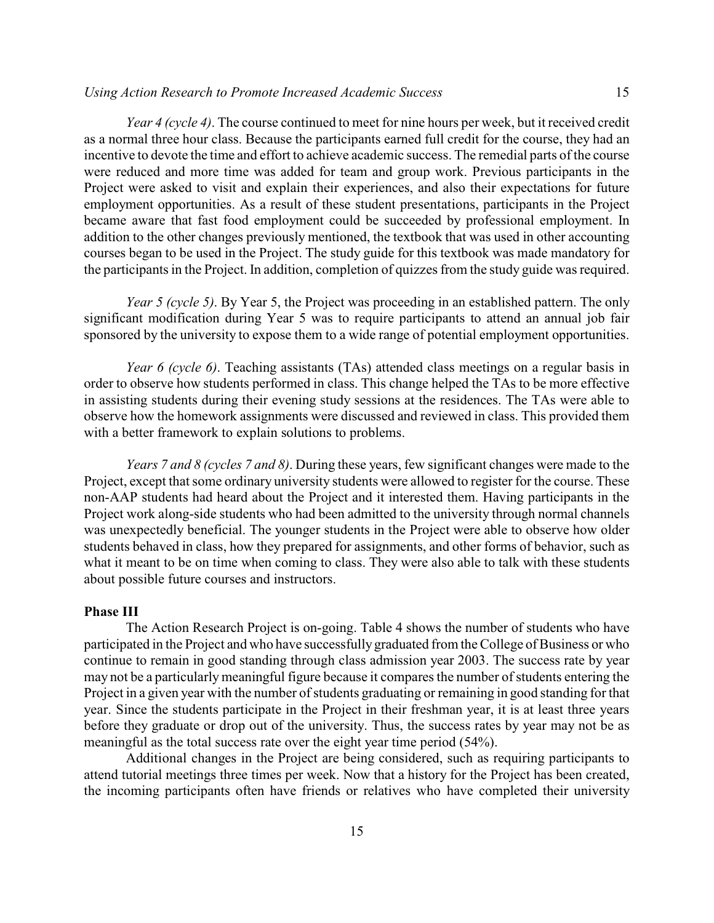*Year 4 (cycle 4)*. The course continued to meet for nine hours per week, but it received credit as a normal three hour class. Because the participants earned full credit for the course, they had an incentive to devote the time and effort to achieve academic success. The remedial parts of the course were reduced and more time was added for team and group work. Previous participants in the Project were asked to visit and explain their experiences, and also their expectations for future employment opportunities. As a result of these student presentations, participants in the Project became aware that fast food employment could be succeeded by professional employment. In

addition to the other changes previously mentioned, the textbook that was used in other accounting courses began to be used in the Project. The study guide for this textbook was made mandatory for the participants in the Project. In addition, completion of quizzes from the study guide was required.

*Year 5 (cycle 5)*. By Year 5, the Project was proceeding in an established pattern. The only significant modification during Year 5 was to require participants to attend an annual job fair sponsored by the university to expose them to a wide range of potential employment opportunities.

*Year 6 (cycle 6)*. Teaching assistants (TAs) attended class meetings on a regular basis in order to observe how students performed in class. This change helped the TAs to be more effective in assisting students during their evening study sessions at the residences. The TAs were able to observe how the homework assignments were discussed and reviewed in class. This provided them with a better framework to explain solutions to problems.

*Years 7 and 8 (cycles 7 and 8)*. During these years, few significant changes were made to the Project, except that some ordinary university students were allowed to register for the course. These non-AAP students had heard about the Project and it interested them. Having participants in the Project work along-side students who had been admitted to the university through normal channels was unexpectedly beneficial. The younger students in the Project were able to observe how older students behaved in class, how they prepared for assignments, and other forms of behavior, such as what it meant to be on time when coming to class. They were also able to talk with these students about possible future courses and instructors.

# **Phase III**

The Action Research Project is on-going. Table 4 shows the number of students who have participated in the Project and who have successfully graduated from the College of Business or who continue to remain in good standing through class admission year 2003. The success rate by year may not be a particularlymeaningful figure because it compares the number of students entering the Project in a given year with the number of students graduating or remaining in good standing for that year. Since the students participate in the Project in their freshman year, it is at least three years before they graduate or drop out of the university. Thus, the success rates by year may not be as meaningful as the total success rate over the eight year time period (54%).

Additional changes in the Project are being considered, such as requiring participants to attend tutorial meetings three times per week. Now that a history for the Project has been created, the incoming participants often have friends or relatives who have completed their university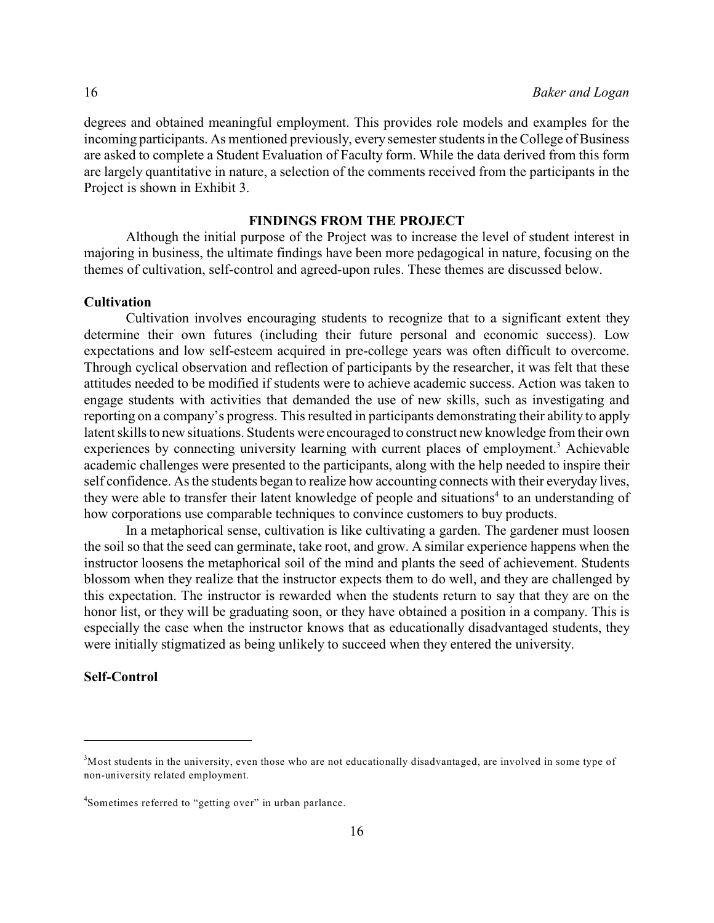degrees and obtained meaningful employment. This provides role models and examples for the incoming participants. As mentioned previously, every semester students in the College of Business are asked to complete a Student Evaluation of Faculty form. While the data derived from this form are largely quantitative in nature, a selection of the comments received from the participants in the Project is shown in Exhibit 3.

### **FINDINGS FROM THE PROJECT**

Although the initial purpose of the Project was to increase the level of student interest in majoring in business, the ultimate findings have been more pedagogical in nature, focusing on the themes of cultivation, self-control and agreed-upon rules. These themes are discussed below.

# **Cultivation**

Cultivation involves encouraging students to recognize that to a significant extent they determine their own futures (including their future personal and economic success). Low expectations and low self-esteem acquired in pre-college years was often difficult to overcome. Through cyclical observation and reflection of participants by the researcher, it was felt that these attitudes needed to be modified if students were to achieve academic success. Action was taken to engage students with activities that demanded the use of new skills, such as investigating and reporting on a company's progress. This resulted in participants demonstrating their ability to apply latent skills to new situations. Students were encouraged to construct new knowledge from their own experiences by connecting university learning with current places of employment.<sup>3</sup> Achievable academic challenges were presented to the participants, along with the help needed to inspire their self confidence. Asthe students began to realize how accounting connects with their everyday lives, they were able to transfer their latent knowledge of people and situations<sup>4</sup> to an understanding of how corporations use comparable techniques to convince customers to buy products.

In a metaphorical sense, cultivation is like cultivating a garden. The gardener must loosen the soil so that the seed can germinate, take root, and grow. A similar experience happens when the instructor loosens the metaphorical soil of the mind and plants the seed of achievement. Students blossom when they realize that the instructor expects them to do well, and they are challenged by this expectation. The instructor is rewarded when the students return to say that they are on the honor list, or they will be graduating soon, or they have obtained a position in a company. This is especially the case when the instructor knows that as educationally disadvantaged students, they were initially stigmatized as being unlikely to succeed when they entered the university.

### **Self-Control**

 $<sup>3</sup>$ Most students in the university, even those who are not educationally disadvantaged, are involved in some type of</sup> non-university related employment.

<sup>&</sup>lt;sup>4</sup>Sometimes referred to "getting over" in urban parlance.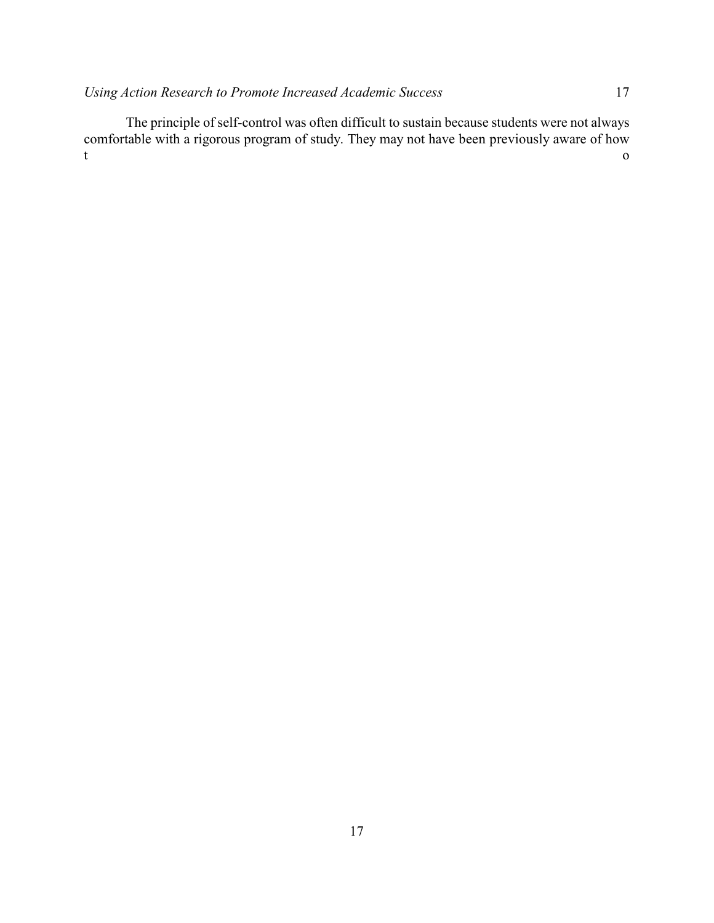The principle of self-control was often difficult to sustain because students were not always comfortable with a rigorous program of study. They may not have been previously aware of how t contract to the contract of the contract of the contract of the contract of the contract of the contract of the contract of the contract of the contract of the contract of the contract of the contract of the contract of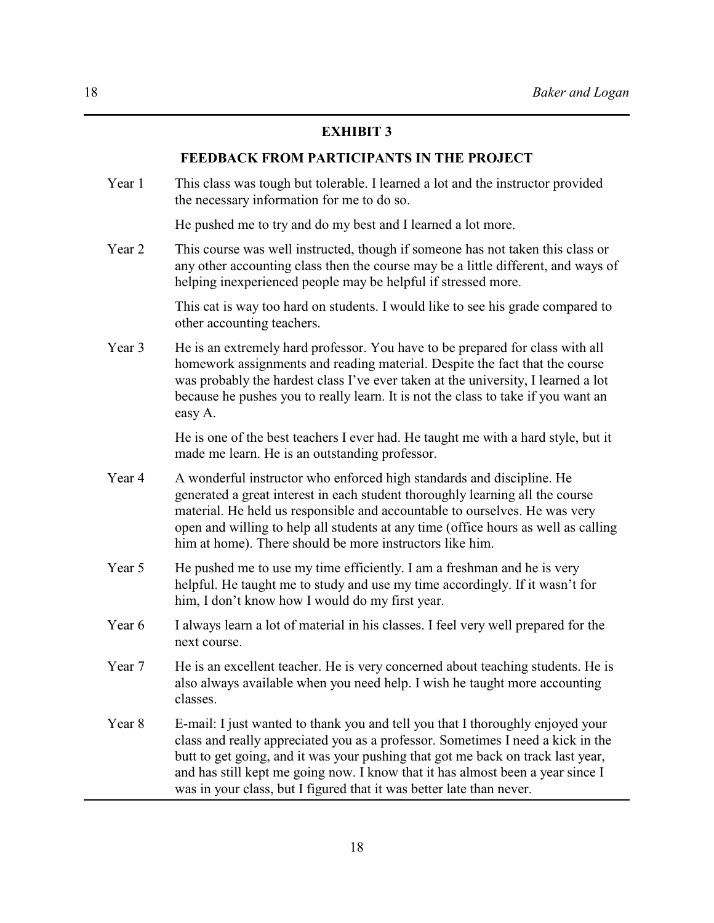# **EXHIBIT 3**

### **FEEDBACK FROM PARTICIPANTS IN THE PROJECT**

Year 1 This class was tough but tolerable. I learned a lot and the instructor provided the necessary information for me to do so.

He pushed me to try and do my best and I learned a lot more.

Year 2 This course was well instructed, though if someone has not taken this class or any other accounting class then the course may be a little different, and ways of helping inexperienced people may be helpful if stressed more.

> This cat is way too hard on students. I would like to see his grade compared to other accounting teachers.

Year 3 He is an extremely hard professor. You have to be prepared for class with all homework assignments and reading material. Despite the fact that the course was probably the hardest class I've ever taken at the university, I learned a lot because he pushes you to really learn. It is not the class to take if you want an easy A.

> He is one of the best teachers I ever had. He taught me with a hard style, but it made me learn. He is an outstanding professor.

- Year 4 A wonderful instructor who enforced high standards and discipline. He generated a great interest in each student thoroughly learning all the course material. He held us responsible and accountable to ourselves. He was very open and willing to help all students at any time (office hours as well as calling him at home). There should be more instructors like him.
- Year 5 He pushed me to use my time efficiently. I am a freshman and he is very helpful. He taught me to study and use my time accordingly. If it wasn't for him, I don't know how I would do my first year.
- Year 6 I always learn a lot of material in his classes. I feel very well prepared for the next course.
- Year 7 He is an excellent teacher. He is very concerned about teaching students. He is also always available when you need help. I wish he taught more accounting classes.
- Year 8 E-mail: I just wanted to thank you and tell you that I thoroughly enjoyed your class and really appreciated you as a professor. Sometimes I need a kick in the butt to get going, and it was your pushing that got me back on track last year, and has still kept me going now. I know that it has almost been a year since I was in your class, but I figured that it was better late than never.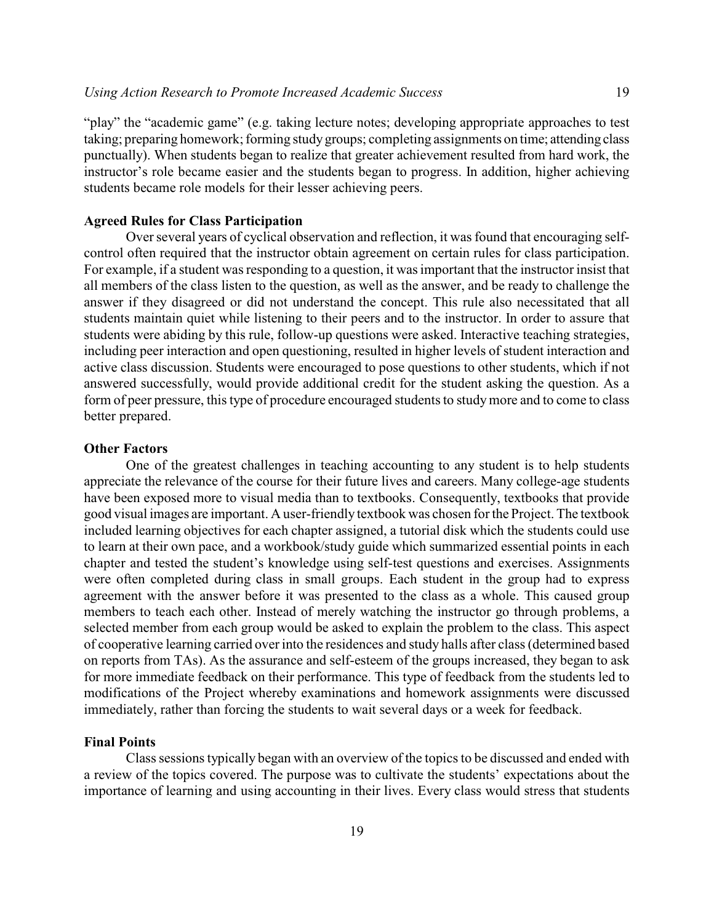"play" the "academic game" (e.g. taking lecture notes; developing appropriate approaches to test taking; preparing homework; forming study groups; completing assignments on time; attending class punctually). When students began to realize that greater achievement resulted from hard work, the instructor's role became easier and the students began to progress. In addition, higher achieving students became role models for their lesser achieving peers.

# **Agreed Rules for Class Participation**

Over several years of cyclical observation and reflection, it was found that encouraging selfcontrol often required that the instructor obtain agreement on certain rules for class participation. For example, if a student was responding to a question, it was important that the instructor insist that all members of the class listen to the question, as well as the answer, and be ready to challenge the answer if they disagreed or did not understand the concept. This rule also necessitated that all students maintain quiet while listening to their peers and to the instructor. In order to assure that students were abiding by this rule, follow-up questions were asked. Interactive teaching strategies, including peer interaction and open questioning, resulted in higher levels of student interaction and active class discussion. Students were encouraged to pose questions to other students, which if not answered successfully, would provide additional credit for the student asking the question. As a form of peer pressure, this type of procedure encouraged students to study more and to come to class better prepared.

# **Other Factors**

One of the greatest challenges in teaching accounting to any student is to help students appreciate the relevance of the course for their future lives and careers. Many college-age students have been exposed more to visual media than to textbooks. Consequently, textbooks that provide good visual images are important. A user-friendly textbook was chosen for the Project. The textbook included learning objectives for each chapter assigned, a tutorial disk which the students could use to learn at their own pace, and a workbook/study guide which summarized essential points in each chapter and tested the student's knowledge using self-test questions and exercises. Assignments were often completed during class in small groups. Each student in the group had to express agreement with the answer before it was presented to the class as a whole. This caused group members to teach each other. Instead of merely watching the instructor go through problems, a selected member from each group would be asked to explain the problem to the class. This aspect of cooperative learning carried over into the residences and study halls after class (determined based on reports from TAs). As the assurance and self-esteem of the groups increased, they began to ask for more immediate feedback on their performance. This type of feedback from the students led to modifications of the Project whereby examinations and homework assignments were discussed immediately, rather than forcing the students to wait several days or a week for feedback.

### **Final Points**

Class sessions typically began with an overview of the topics to be discussed and ended with a review of the topics covered. The purpose was to cultivate the students' expectations about the importance of learning and using accounting in their lives. Every class would stress that students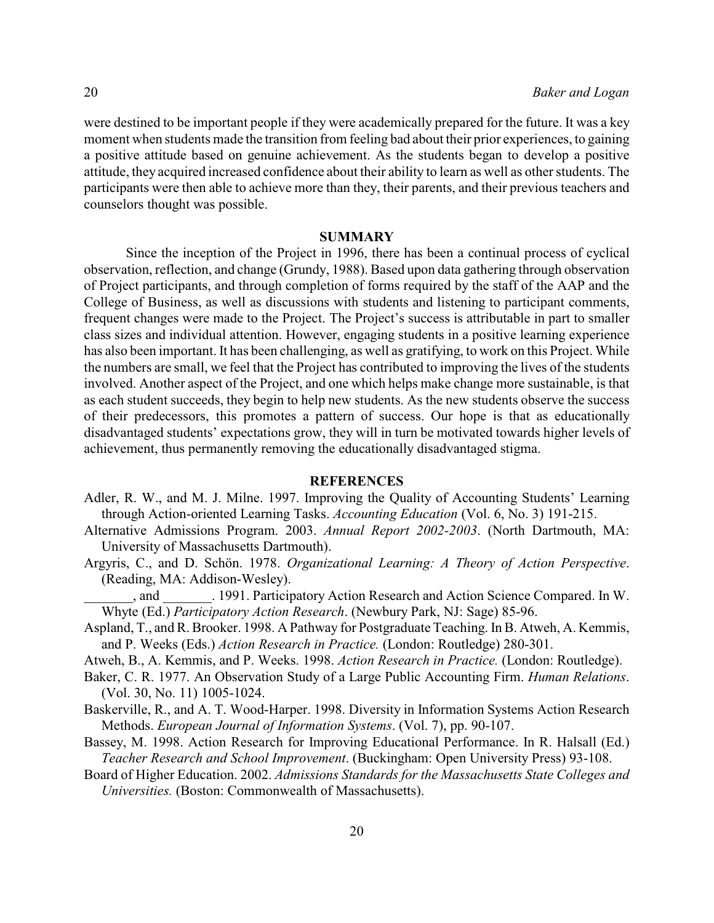were destined to be important people if they were academically prepared for the future. It was a key moment when students made the transition from feeling bad about their prior experiences, to gaining a positive attitude based on genuine achievement. As the students began to develop a positive attitude, they acquired increased confidence about their ability to learn as well as other students. The participants were then able to achieve more than they, their parents, and their previous teachers and counselors thought was possible.

### **SUMMARY**

Since the inception of the Project in 1996, there has been a continual process of cyclical observation, reflection, and change (Grundy, 1988). Based upon data gathering through observation of Project participants, and through completion of forms required by the staff of the AAP and the College of Business, as well as discussions with students and listening to participant comments, frequent changes were made to the Project. The Project's success is attributable in part to smaller class sizes and individual attention. However, engaging students in a positive learning experience has also been important. It has been challenging, as well as gratifying, to work on this Project. While the numbers are small, we feel that the Project has contributed to improving the lives of the students involved. Another aspect of the Project, and one which helps make change more sustainable, is that as each student succeeds, they begin to help new students. As the new students observe the success of their predecessors, this promotes a pattern of success. Our hope is that as educationally disadvantaged students' expectations grow, they will in turn be motivated towards higher levels of achievement, thus permanently removing the educationally disadvantaged stigma.

### **REFERENCES**

- Adler, R. W., and M. J. Milne. 1997. Improving the Quality of Accounting Students' Learning through Action-oriented Learning Tasks. *Accounting Education* (Vol. 6, No. 3) 191-215.
- Alternative Admissions Program. 2003. *Annual Report 2002-2003*. (North Dartmouth, MA: University of Massachusetts Dartmouth).
- Argyris, C., and D. Schön. 1978. *Organizational Learning: A Theory of Action Perspective*. (Reading, MA: Addison-Wesley).
- \_\_\_\_\_\_\_, and \_\_\_\_\_\_\_. 1991. Participatory Action Research and Action Science Compared. In W. Whyte (Ed.) *Participatory Action Research*. (Newbury Park, NJ: Sage) 85-96.
- Aspland, T., and R. Brooker. 1998. A Pathway for Postgraduate Teaching. In B. Atweh, A. Kemmis, and P. Weeks (Eds.) *Action Research in Practice.* (London: Routledge) 280-301.
- Atweh, B., A. Kemmis, and P. Weeks. 1998. *Action Research in Practice.* (London: Routledge).
- Baker, C. R. 1977. An Observation Study of a Large Public Accounting Firm. *Human Relations*. (Vol. 30, No. 11) 1005-1024.
- Baskerville, R., and A. T. Wood-Harper. 1998. Diversity in Information Systems Action Research Methods. *European Journal of Information Systems*. (Vol. 7), pp. 90-107.
- Bassey, M. 1998. Action Research for Improving Educational Performance. In R. Halsall (Ed.) *Teacher Research and School Improvement*. (Buckingham: Open University Press) 93-108.
- Board of Higher Education. 2002. *Admissions Standards for the Massachusetts State Colleges and Universities.* (Boston: Commonwealth of Massachusetts).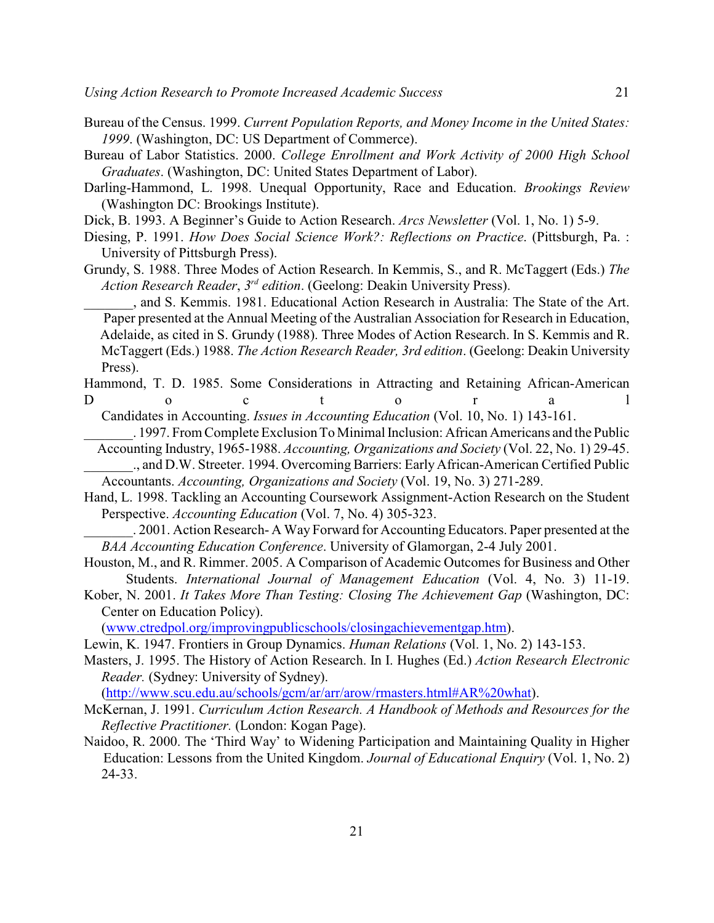- Bureau of the Census. 1999. *Current Population Reports, and Money Income in the United States: 1999*. (Washington, DC: US Department of Commerce).
- Bureau of Labor Statistics. 2000. *College Enrollment and Work Activity of 2000 High School Graduates*. (Washington, DC: United States Department of Labor).
- Darling-Hammond, L. 1998. Unequal Opportunity, Race and Education. *Brookings Review* (Washington DC: Brookings Institute).
- Dick, B. 1993. A Beginner's Guide to Action Research. *Arcs Newsletter* (Vol. 1, No. 1) 5-9.
- Diesing, P. 1991. *How Does Social Science Work?: Reflections on Practice*. (Pittsburgh, Pa. : University of Pittsburgh Press).
- Grundy, S. 1988. Three Modes of Action Research. In Kemmis, S., and R. McTaggert (Eds.) *The Action Research Reader, 3<sup>rd</sup> edition.* (Geelong: Deakin University Press).

\_\_\_\_\_\_\_, and S. Kemmis. 1981. Educational Action Research in Australia: The State of the Art. Paper presented at the Annual Meeting of the Australian Association for Research in Education, Adelaide, as cited in S. Grundy (1988). Three Modes of Action Research. In S. Kemmis and R. McTaggert (Eds.) 1988. *The Action Research Reader, 3rd edition*. (Geelong: Deakin University Press).

Hammond, T. D. 1985. Some Considerations in Attracting and Retaining African-American D o c t o r a l

Candidates in Accounting. *Issues in Accounting Education* (Vol. 10, No. 1) 143-161.

- \_\_\_\_\_\_\_. 1997. From Complete Exclusion To Minimal Inclusion: African Americans and the Public Accounting Industry, 1965-1988. *Accounting, Organizations and Society* (Vol. 22, No. 1) 29-45.
- \_\_\_\_\_\_\_., and D.W. Streeter. 1994. Overcoming Barriers: EarlyAfrican-American Certified Public Accountants. *Accounting, Organizations and Society* (Vol. 19, No. 3) 271-289.
- Hand, L. 1998. Tackling an Accounting Coursework Assignment-Action Research on the Student Perspective. *Accounting Education* (Vol. 7, No. 4) 305-323.
	- \_\_\_\_\_\_\_. 2001. Action Research- A Way Forward for Accounting Educators. Paper presented at the *BAA Accounting Education Conference*. University of Glamorgan, 2-4 July 2001.
- Houston, M., and R. Rimmer. 2005. A Comparison of Academic Outcomes for Business and Other Students. *International Journal of Management Education* (Vol. 4, No. 3) 11-19.
- Kober, N. 2001. *It Takes More Than Testing: Closing The Achievement Gap* (Washington, DC: Center on Education Policy).

[\(www.ctredpol.org/improvingpublicschools/closingachievementgap.htm](http://www.ctredpol.org/improvingpublicschools/closingachievementgap.htm)).

- Lewin, K. 1947. Frontiers in Group Dynamics. *Human Relations* (Vol. 1, No. 2) 143-153.
- Masters, J. 1995. The History of Action Research. In I. Hughes (Ed.) *Action Research Electronic Reader.* (Sydney: University of Sydney).

[\(http://www.scu.edu.au/schools/gcm/ar/arr/arow/rmasters.html#AR%20what](http://www.scu.edu.au/schools/gcm/ar/arr/arow/rmasters.html#AR%20what)).

- McKernan, J. 1991. *Curriculum Action Research. A Handbook of Methods and Resources for the Reflective Practitioner.* (London: Kogan Page).
- Naidoo, R. 2000. The 'Third Way' to Widening Participation and Maintaining Quality in Higher Education: Lessons from the United Kingdom. *Journal of Educational Enquiry* (Vol. 1, No. 2) 24-33.